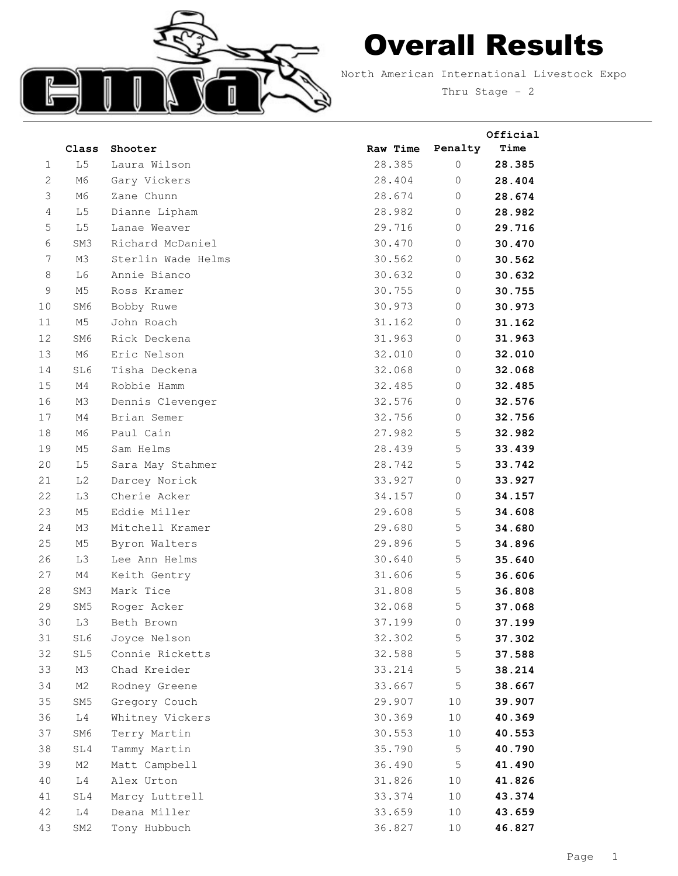

## Overall Results

North American International Livestock Expo Thru Stage - 2

|                     |                |                                  |                  |                         | Official         |
|---------------------|----------------|----------------------------------|------------------|-------------------------|------------------|
|                     | Class          | Shooter                          | Raw Time         | Penalty                 | Time             |
| 1                   | $\mbox{L}\,5$  | Laura Wilson                     | 28.385           | $\circ$                 | 28.385           |
| $\mathbf{2}$        | M6             | Gary Vickers                     | 28.404           | $\mathbf{0}$            | 28.404           |
| 3<br>$\overline{4}$ | M6             | Zane Chunn                       | 28.674           | $\mathbf{0}$<br>$\circ$ | 28.674           |
|                     | L <sub>5</sub> | Dianne Lipham                    | 28.982           | $\circ$                 | 28.982           |
| 5<br>6              | L <sub>5</sub> | Lanae Weaver<br>Richard McDaniel | 29.716           |                         | 29.716           |
| $\overline{7}$      | SM3<br>M3      | Sterlin Wade Helms               | 30.470<br>30.562 | 0<br>$\mathbf 0$        | 30.470           |
| 8                   | L6             | Annie Bianco                     | 30.632           | 0                       | 30.562           |
| 9                   | M5             | Ross Kramer                      | 30.755           | $\circ$                 | 30.632<br>30.755 |
| 10                  | SM6            |                                  | 30.973           | $\circ$                 | 30.973           |
| 11                  | M5             | Bobby Ruwe<br>John Roach         | 31.162           | $\mathbf{0}$            | 31.162           |
| 12                  | SM6            | Rick Deckena                     | 31.963           | $\mathbf 0$             | 31.963           |
| 13                  | M6             | Eric Nelson                      | 32.010           | $\mathbf{0}$            | 32.010           |
| 14                  | SL6            | Tisha Deckena                    | 32.068           | $\circ$                 | 32.068           |
| 15                  | M4             | Robbie Hamm                      | 32.485           | $\circ$                 | 32.485           |
| 16                  | M3             | Dennis Clevenger                 | 32.576           | 0                       | 32.576           |
| 17                  | M4             | Brian Semer                      | 32.756           | $\overline{0}$          | 32.756           |
| 18                  | M6             | Paul Cain                        | 27.982           | 5                       | 32.982           |
| 19                  | M5             | Sam Helms                        | 28.439           | 5                       | 33.439           |
| 20                  | L5             | Sara May Stahmer                 | 28.742           | 5                       | 33.742           |
| 21                  | L2             | Darcey Norick                    | 33.927           | $\mathbf 0$             | 33.927           |
| 22                  | L3             | Cherie Acker                     | 34.157           | 0                       | 34.157           |
| 23                  | M <sub>5</sub> | Eddie Miller                     | 29.608           | 5                       | 34.608           |
| 24                  | M3             | Mitchell Kramer                  | 29.680           | 5                       | 34.680           |
| 25                  | M5             | Byron Walters                    | 29.896           | 5                       | 34.896           |
| 26                  | L3             | Lee Ann Helms                    | 30.640           | 5                       | 35.640           |
| 27                  | M4             | Keith Gentry                     | 31.606           | 5                       | 36.606           |
| 28                  | SM3            | Mark Tice                        | 31.808           | 5                       | 36.808           |
| 29                  | SM5            | Roger Acker                      | 32.068           | 5                       | 37.068           |
| 30                  | L3             | Beth Brown                       | 37.199           | $\circ$                 | 37.199           |
| 31                  | SL6            | Joyce Nelson                     | 32.302           | 5                       | 37.302           |
| 32                  | SL5            | Connie Ricketts                  | 32.588           | 5                       | 37.588           |
| 33                  | M3             | Chad Kreider                     | 33.214           | $\mathsf S$             | 38.214           |
| 34                  | M2             | Rodney Greene                    | 33.667           | 5                       | 38.667           |
| 35                  | SM5            | Gregory Couch                    | 29.907           | 10                      | 39.907           |
| 36                  | L4             | Whitney Vickers                  | 30.369           | $10$                    | 40.369           |
| 37                  | SM6            | Terry Martin                     | 30.553           | 10                      | 40.553           |
| 38                  | SL4            | Tammy Martin                     | 35.790           | 5                       | 40.790           |
| 39                  | M2             | Matt Campbell                    | 36.490           | 5                       | 41.490           |
| 40                  | L4             | Alex Urton                       | 31.826           | 10                      | 41.826           |
| 41                  | SL4            | Marcy Luttrell                   | 33.374           | 10                      | 43.374           |
| 42                  | L4             | Deana Miller                     | 33.659           | 10                      | 43.659           |
| 43                  | SM2            | Tony Hubbuch                     | 36.827           | $10$                    | 46.827           |